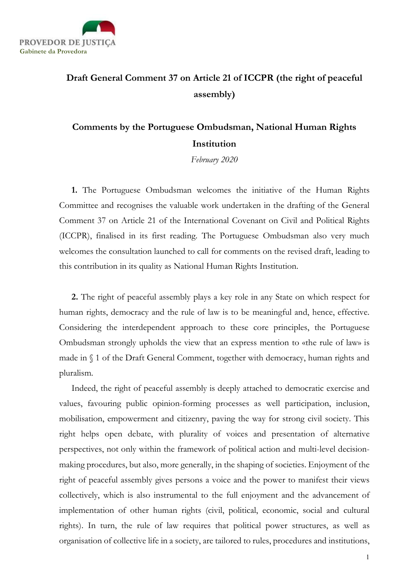

## Draft General Comment 37 on Article 21 of ICCPR (the right of peaceful assembly)

## Comments by the Portuguese Ombudsman, National Human Rights Institution

February 2020

1. The Portuguese Ombudsman welcomes the initiative of the Human Rights Committee and recognises the valuable work undertaken in the drafting of the General Comment 37 on Article 21 of the International Covenant on Civil and Political Rights (ICCPR), finalised in its first reading. The Portuguese Ombudsman also very much welcomes the consultation launched to call for comments on the revised draft, leading to this contribution in its quality as National Human Rights Institution.

2. The right of peaceful assembly plays a key role in any State on which respect for human rights, democracy and the rule of law is to be meaningful and, hence, effective. Considering the interdependent approach to these core principles, the Portuguese Ombudsman strongly upholds the view that an express mention to «the rule of law» is made in § 1 of the Draft General Comment, together with democracy, human rights and pluralism.

Indeed, the right of peaceful assembly is deeply attached to democratic exercise and values, favouring public opinion-forming processes as well participation, inclusion, mobilisation, empowerment and citizenry, paving the way for strong civil society. This right helps open debate, with plurality of voices and presentation of alternative perspectives, not only within the framework of political action and multi-level decisionmaking procedures, but also, more generally, in the shaping of societies. Enjoyment of the right of peaceful assembly gives persons a voice and the power to manifest their views collectively, which is also instrumental to the full enjoyment and the advancement of implementation of other human rights (civil, political, economic, social and cultural rights). In turn, the rule of law requires that political power structures, as well as organisation of collective life in a society, are tailored to rules, procedures and institutions,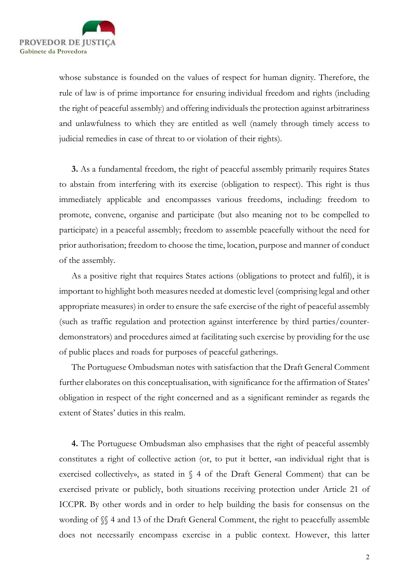

whose substance is founded on the values of respect for human dignity. Therefore, the rule of law is of prime importance for ensuring individual freedom and rights (including the right of peaceful assembly) and offering individuals the protection against arbitrariness and unlawfulness to which they are entitled as well (namely through timely access to judicial remedies in case of threat to or violation of their rights).

3. As a fundamental freedom, the right of peaceful assembly primarily requires States to abstain from interfering with its exercise (obligation to respect). This right is thus immediately applicable and encompasses various freedoms, including: freedom to promote, convene, organise and participate (but also meaning not to be compelled to participate) in a peaceful assembly; freedom to assemble peacefully without the need for prior authorisation; freedom to choose the time, location, purpose and manner of conduct of the assembly.

As a positive right that requires States actions (obligations to protect and fulfil), it is important to highlight both measures needed at domestic level (comprising legal and other appropriate measures) in order to ensure the safe exercise of the right of peaceful assembly (such as traffic regulation and protection against interference by third parties/counterdemonstrators) and procedures aimed at facilitating such exercise by providing for the use of public places and roads for purposes of peaceful gatherings.

The Portuguese Ombudsman notes with satisfaction that the Draft General Comment further elaborates on this conceptualisation, with significance for the affirmation of States' obligation in respect of the right concerned and as a significant reminder as regards the extent of States' duties in this realm.

4. The Portuguese Ombudsman also emphasises that the right of peaceful assembly constitutes a right of collective action (or, to put it better, «an individual right that is exercised collectively», as stated in § 4 of the Draft General Comment) that can be exercised private or publicly, both situations receiving protection under Article 21 of ICCPR. By other words and in order to help building the basis for consensus on the wording of  $\%$  4 and 13 of the Draft General Comment, the right to peacefully assemble does not necessarily encompass exercise in a public context. However, this latter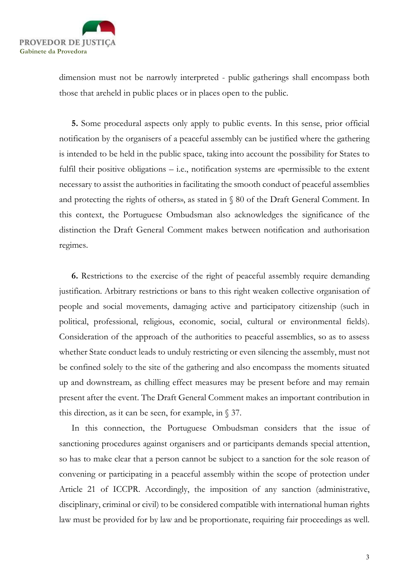

dimension must not be narrowly interpreted - public gatherings shall encompass both those that areheld in public places or in places open to the public.

5. Some procedural aspects only apply to public events. In this sense, prior official notification by the organisers of a peaceful assembly can be justified where the gathering is intended to be held in the public space, taking into account the possibility for States to fulfil their positive obligations – i.e., notification systems are «permissible to the extent necessary to assist the authorities in facilitating the smooth conduct of peaceful assemblies and protecting the rights of others», as stated in § 80 of the Draft General Comment. In this context, the Portuguese Ombudsman also acknowledges the significance of the distinction the Draft General Comment makes between notification and authorisation regimes.

6. Restrictions to the exercise of the right of peaceful assembly require demanding justification. Arbitrary restrictions or bans to this right weaken collective organisation of people and social movements, damaging active and participatory citizenship (such in political, professional, religious, economic, social, cultural or environmental fields). Consideration of the approach of the authorities to peaceful assemblies, so as to assess whether State conduct leads to unduly restricting or even silencing the assembly, must not be confined solely to the site of the gathering and also encompass the moments situated up and downstream, as chilling effect measures may be present before and may remain present after the event. The Draft General Comment makes an important contribution in this direction, as it can be seen, for example, in  $\S$  37.

In this connection, the Portuguese Ombudsman considers that the issue of sanctioning procedures against organisers and or participants demands special attention, so has to make clear that a person cannot be subject to a sanction for the sole reason of convening or participating in a peaceful assembly within the scope of protection under Article 21 of ICCPR. Accordingly, the imposition of any sanction (administrative, disciplinary, criminal or civil) to be considered compatible with international human rights law must be provided for by law and be proportionate, requiring fair proceedings as well.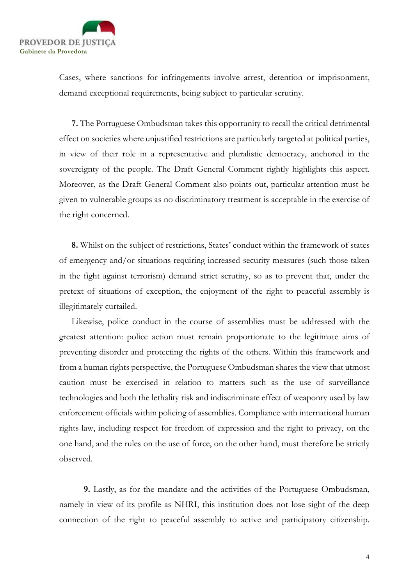

Cases, where sanctions for infringements involve arrest, detention or imprisonment, demand exceptional requirements, being subject to particular scrutiny.

7. The Portuguese Ombudsman takes this opportunity to recall the critical detrimental effect on societies where unjustified restrictions are particularly targeted at political parties, in view of their role in a representative and pluralistic democracy, anchored in the sovereignty of the people. The Draft General Comment rightly highlights this aspect. Moreover, as the Draft General Comment also points out, particular attention must be given to vulnerable groups as no discriminatory treatment is acceptable in the exercise of the right concerned.

8. Whilst on the subject of restrictions, States' conduct within the framework of states of emergency and/or situations requiring increased security measures (such those taken in the fight against terrorism) demand strict scrutiny, so as to prevent that, under the pretext of situations of exception, the enjoyment of the right to peaceful assembly is illegitimately curtailed.

Likewise, police conduct in the course of assemblies must be addressed with the greatest attention: police action must remain proportionate to the legitimate aims of preventing disorder and protecting the rights of the others. Within this framework and from a human rights perspective, the Portuguese Ombudsman shares the view that utmost caution must be exercised in relation to matters such as the use of surveillance technologies and both the lethality risk and indiscriminate effect of weaponry used by law enforcement officials within policing of assemblies. Compliance with international human rights law, including respect for freedom of expression and the right to privacy, on the one hand, and the rules on the use of force, on the other hand, must therefore be strictly observed.

9. Lastly, as for the mandate and the activities of the Portuguese Ombudsman, namely in view of its profile as NHRI, this institution does not lose sight of the deep connection of the right to peaceful assembly to active and participatory citizenship.